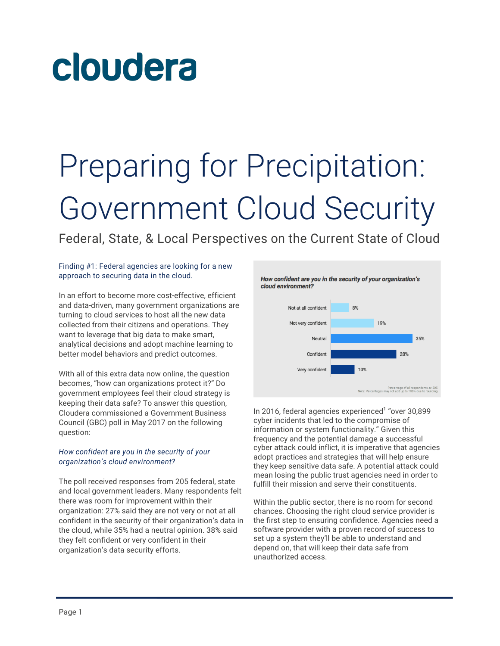# cloudera

## Preparing for Precipitation: Government Cloud Security

Federal, State, & Local Perspectives on the Current State of Cloud

#### Finding #1: Federal agencies are looking for a new approach to securing data in the cloud.

In an effort to become more cost-effective, efficient and data-driven, many government organizations are turning to cloud services to host all the new data collected from their citizens and operations. They want to leverage that big data to make smart, analytical decisions and adopt machine learning to better model behaviors and predict outcomes.

With all of this extra data now online, the question becomes, "how can organizations protect it?" Do government employees feel their cloud strategy is keeping their data safe? To answer this question, Cloudera commissioned a Government Business Council (GBC) poll in May 2017 on the following question:

### *How confident are you in the security of your organization's cloud environment?*

The poll received responses from 205 federal, state and local government leaders. Many respondents felt there was room for improvement within their organization: 27% said they are not very or not at all confident in the security of their organization's data in the cloud, while 35% had a neutral opinion. 38% said they felt confident or very confident in their organization's data security efforts.



In 2016, federal agencies experienced<sup>1</sup> "over 30,899" cyber incidents that led to the compromise of information or system functionality." Given this frequency and the potential damage a successful cyber attack could inflict, it is imperative that agencies adopt practices and strategies that will help ensure they keep sensitive data safe. A potential attack could mean losing the public trust agencies need in order to fulfill their mission and serve their constituents.

Within the public sector, there is no room for second chances. Choosing the right cloud service provider is the first step to ensuring confidence. Agencies need a software provider with a proven record of success to set up a system they'll be able to understand and depend on, that will keep their data safe from unauthorized access.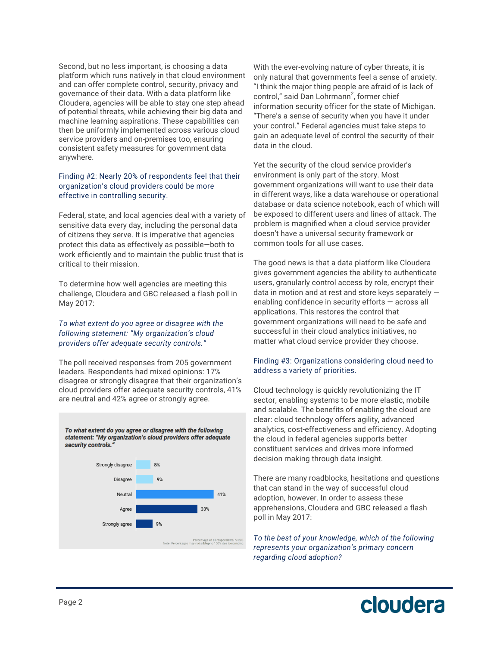Second, but no less important, is choosing a data platform which runs natively in that cloud environment and can offer complete control, security, privacy and governance of their data. With a data platform like Cloudera, agencies will be able to stay one step ahead of potential threats, while achieving their big data and machine learning aspirations. These capabilities can then be uniformly implemented across various cloud service providers and on-premises too, ensuring consistent safety measures for government data anywhere.

#### Finding #2: Nearly 20% of respondents feel that their organization's cloud providers could be more effective in controlling security.

Federal, state, and local agencies deal with a variety of sensitive data every day, including the personal data of citizens they serve. It is imperative that agencies protect this data as effectively as possible—both to work efficiently and to maintain the public trust that is critical to their mission.

To determine how well agencies are meeting this challenge, Cloudera and GBC released a flash poll in May 2017:

#### *To what extent do you agree or disagree with the following statement: "My organization's cloud providers offer adequate security controls."*

The poll received responses from 205 government leaders. Respondents had mixed opinions: 17% disagree or strongly disagree that their organization's cloud providers offer adequate security controls, 41% are neutral and 42% agree or strongly agree.

To what extent do you agree or disagree with the following statement: "My organization's cloud providers offer adequate security controls.



With the ever-evolving nature of cyber threats, it is only natural that governments feel a sense of anxiety. "I think the major thing people are afraid of is lack of control," said Dan Lohrmann<sup>2</sup>, former chief information security officer for the state of Michigan. "There's a sense of security when you have it under your control." Federal agencies must take steps to gain an adequate level of control the security of their data in the cloud.

Yet the security of the cloud service provider's environment is only part of the story. Most government organizations will want to use their data in different ways, like a data warehouse or operational database or data science notebook, each of which will be exposed to different users and lines of attack. The problem is magnified when a cloud service provider doesn't have a universal security framework or common tools for all use cases.

The good news is that a data platform like Cloudera gives government agencies the ability to authenticate users, granularly control access by role, encrypt their data in motion and at rest and store keys separately enabling confidence in security efforts — across all applications. This restores the control that government organizations will need to be safe and successful in their cloud analytics initiatives, no matter what cloud service provider they choose.

### Finding #3: Organizations considering cloud need to address a variety of priorities.

Cloud technology is quickly revolutionizing the IT sector, enabling systems to be more elastic, mobile and scalable. The benefits of enabling the cloud are clear: cloud technology offers agility, advanced analytics, cost-effectiveness and efficiency. Adopting the cloud in federal agencies supports better constituent services and drives more informed decision making through data insight.

There are many roadblocks, hesitations and questions that can stand in the way of successful cloud adoption, however. In order to assess these apprehensions, Cloudera and GBC released a flash poll in May 2017:

*To the best of your knowledge, which of the following represents your organization's primary concern regarding cloud adoption?*